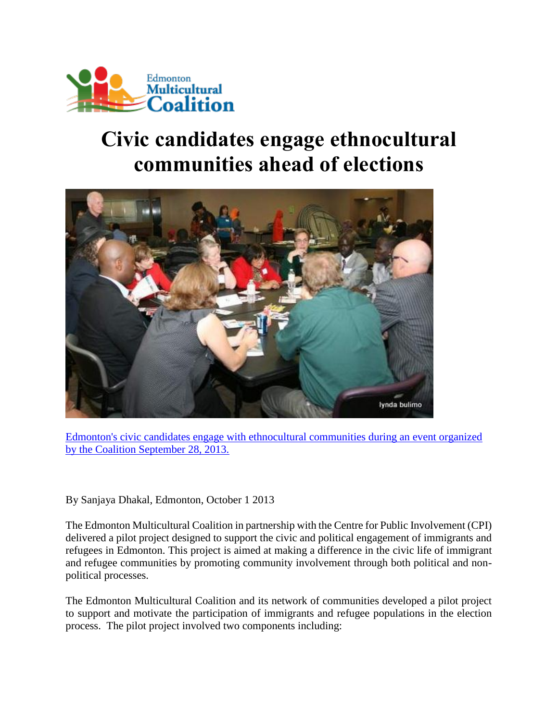

## **Civic candidates engage ethnocultural communities ahead of elections**



[Edmonton's civic candidates engage with ethnocultural communities during an event organized](http://www.emcoalition.ca/wp-content/uploads/2013/10/candidates_community.jpg)  [by the Coalition September 28, 2013.](http://www.emcoalition.ca/wp-content/uploads/2013/10/candidates_community.jpg)

By Sanjaya Dhakal, Edmonton, October 1 2013

The Edmonton Multicultural Coalition in partnership with the Centre for Public Involvement (CPI) delivered a pilot project designed to support the civic and political engagement of immigrants and refugees in Edmonton. This project is aimed at making a difference in the civic life of immigrant and refugee communities by promoting community involvement through both political and nonpolitical processes.

The Edmonton Multicultural Coalition and its network of communities developed a pilot project to support and motivate the participation of immigrants and refugee populations in the election process. The pilot project involved two components including: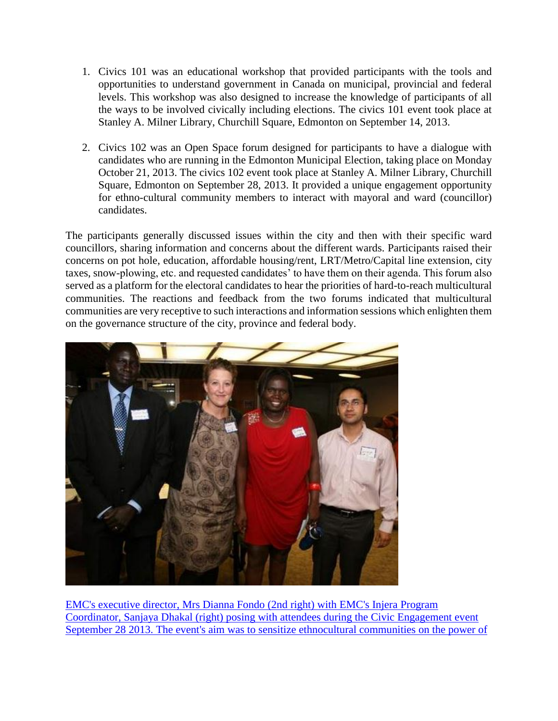- 1. Civics 101 was an educational workshop that provided participants with the tools and opportunities to understand government in Canada on municipal, provincial and federal levels. This workshop was also designed to increase the knowledge of participants of all the ways to be involved civically including elections. The civics 101 event took place at Stanley A. Milner Library, Churchill Square, Edmonton on September 14, 2013.
- 2. Civics 102 was an Open Space forum designed for participants to have a dialogue with candidates who are running in the Edmonton Municipal Election, taking place on Monday October 21, 2013. The civics 102 event took place at Stanley A. Milner Library, Churchill Square, Edmonton on September 28, 2013. It provided a unique engagement opportunity for ethno-cultural community members to interact with mayoral and ward (councillor) candidates.

The participants generally discussed issues within the city and then with their specific ward councillors, sharing information and concerns about the different wards. Participants raised their concerns on pot hole, education, affordable housing/rent, LRT/Metro/Capital line extension, city taxes, snow-plowing, etc. and requested candidates' to have them on their agenda. This forum also served as a platform for the electoral candidates to hear the priorities of hard-to-reach multicultural communities. The reactions and feedback from the two forums indicated that multicultural communities are very receptive to such interactions and information sessions which enlighten them on the governance structure of the city, province and federal body.



[EMC's executive director, Mrs Dianna Fondo \(2nd right\) with EMC's Injera Program](http://www.emcoalition.ca/wp-content/uploads/2013/10/diana_sanjaya.jpg)  [Coordinator, Sanjaya Dhakal \(right\) posing with attendees during the Civic Engagement event](http://www.emcoalition.ca/wp-content/uploads/2013/10/diana_sanjaya.jpg)  September 28 2013. The event's aim was to sensitize ethnocultural communities on the power of